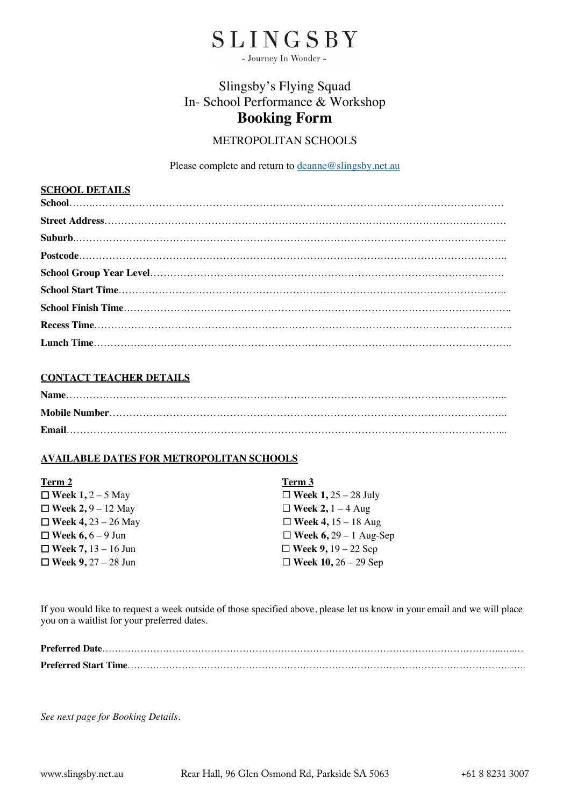

- Journey In Wonder -

# Slingsby's Flying Squad In- School Performance & Workshop **Booking Form**

### METROPOLITAN SCHOOLS

Please complete and return to deanne@slingsby.net.au

## **SCHOOL DETAILS**

#### **CONTACT TEACHER DETAILS**

#### **AVAILABLE DATES FOR METROPOLITAN SCHOOLS**

| Term 2                     | Term 3                        |
|----------------------------|-------------------------------|
| $\Box$ Week 1, 2 – 5 May   | $\Box$ Week 1, 25 – 28 July   |
| $\Box$ Week 2, 9 – 12 May  | $\Box$ Week 2, 1 – 4 Aug      |
| $\Box$ Week 4, 23 – 26 May | $\Box$ Week 4, 15 – 18 Aug    |
| $\Box$ Week 6, 6 – 9 Jun   | $\Box$ Week 6, 29 – 1 Aug-Sep |
| □ Week 7, $13 - 16$ Jun    | $\Box$ Week 9, 19 – 22 Sep    |
| $\Box$ Week 9, 27 – 28 Jun | □ Week $10, 26 - 29$ Sep      |

If you would like to request a week outside of those specified above, please let us know in your email and we will place you on a waitlist for your preferred dates.

*See next page for Booking Details.*